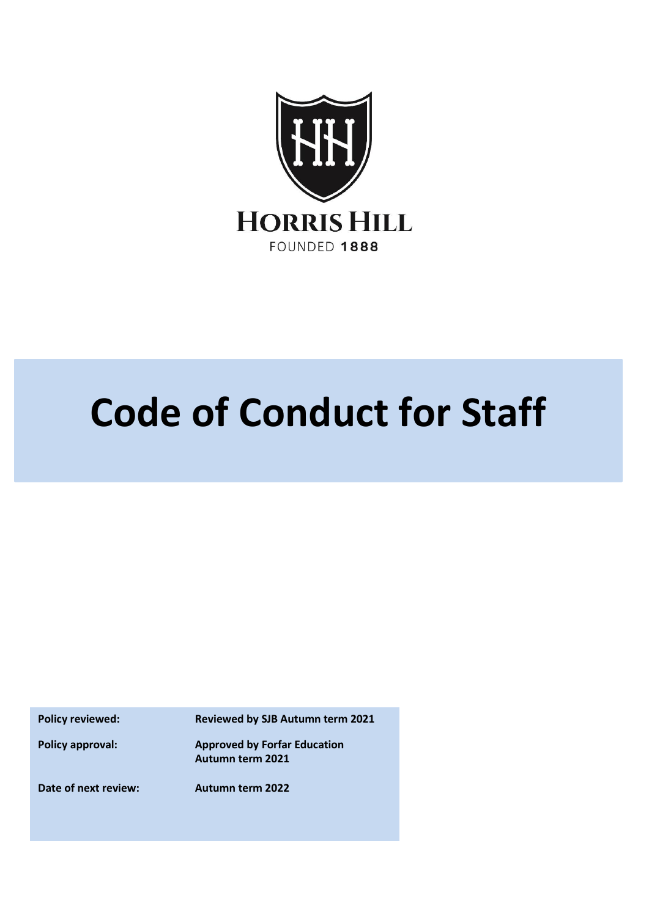

# **Code of Conduct for Staff**

**Policy reviewed: Reviewed by SJB Autumn term 2021**

**Policy approval: Approved by Forfar Education Autumn term 2021**

**Date of next review: Autumn term 2022**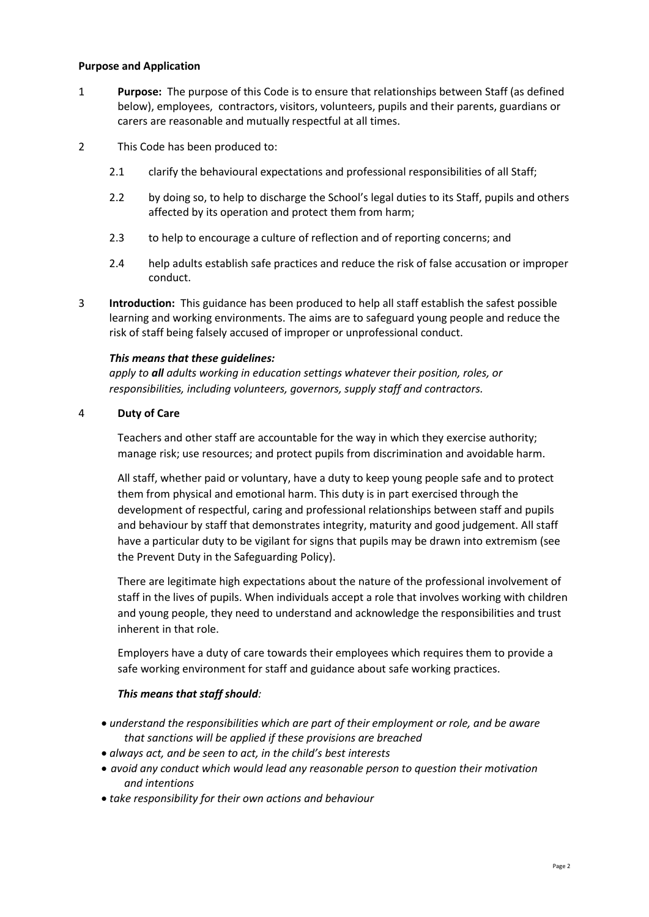#### **Purpose and Application**

- 1 **Purpose:** The purpose of this Code is to ensure that relationships between Staff (as defined below), employees, contractors, visitors, volunteers, pupils and their parents, guardians or carers are reasonable and mutually respectful at all times.
- 2 This Code has been produced to:
	- 2.1 clarify the behavioural expectations and professional responsibilities of all Staff;
	- 2.2 by doing so, to help to discharge the School's legal duties to its Staff, pupils and others affected by its operation and protect them from harm;
	- 2.3 to help to encourage a culture of reflection and of reporting concerns; and
	- 2.4 help adults establish safe practices and reduce the risk of false accusation or improper conduct.
- 3 **Introduction:** This guidance has been produced to help all staff establish the safest possible learning and working environments. The aims are to safeguard young people and reduce the risk of staff being falsely accused of improper or unprofessional conduct.

#### *This means that these guidelines:*

*apply to all adults working in education settings whatever their position, roles, or responsibilities, including volunteers, governors, supply staff and contractors.*

#### 4 **Duty of Care**

Teachers and other staff are accountable for the way in which they exercise authority; manage risk; use resources; and protect pupils from discrimination and avoidable harm.

All staff, whether paid or voluntary, have a duty to keep young people safe and to protect them from physical and emotional harm. This duty is in part exercised through the development of respectful, caring and professional relationships between staff and pupils and behaviour by staff that demonstrates integrity, maturity and good judgement. All staff have a particular duty to be vigilant for signs that pupils may be drawn into extremism (see the Prevent Duty in the Safeguarding Policy).

There are legitimate high expectations about the nature of the professional involvement of staff in the lives of pupils. When individuals accept a role that involves working with children and young people, they need to understand and acknowledge the responsibilities and trust inherent in that role.

Employers have a duty of care towards their employees which requires them to provide a safe working environment for staff and guidance about safe working practices.

#### *This means that staff should:*

- *understand the responsibilities which are part of their employment or role, and be aware that sanctions will be applied if these provisions are breached*
- *always act, and be seen to act, in the child's best interests*
- *avoid any conduct which would lead any reasonable person to question their motivation and intentions*
- *take responsibility for their own actions and behaviour*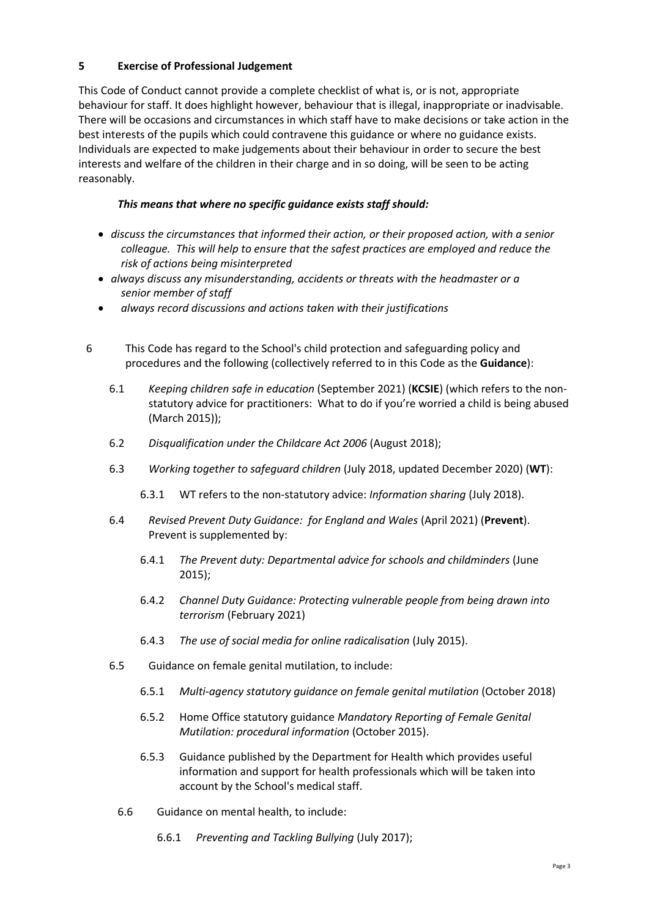# **5 Exercise of Professional Judgement**

This Code of Conduct cannot provide a complete checklist of what is, or is not, appropriate behaviour for staff. It does highlight however, behaviour that is illegal, inappropriate or inadvisable. There will be occasions and circumstances in which staff have to make decisions or take action in the best interests of the pupils which could contravene this guidance or where no guidance exists. Individuals are expected to make judgements about their behaviour in order to secure the best interests and welfare of the children in their charge and in so doing, will be seen to be acting reasonably.

# *This means that where no specific guidance exists staff should:*

- *discuss the circumstances that informed their action, or their proposed action, with a senior colleague. This will help to ensure that the safest practices are employed and reduce the risk of actions being misinterpreted*
- *always discuss any misunderstanding, accidents or threats with the headmaster or a senior member of staff*
- *always record discussions and actions taken with their justifications*
- 6 This Code has regard to the School's child protection and safeguarding policy and procedures and the following (collectively referred to in this Code as the **Guidance**):
	- 6.1 *Keeping children safe in education* (September 2021) (**KCSIE**) (which refers to the nonstatutory advice for practitioners: What to do if you're worried a child is being abused (March 2015));
	- 6.2 *Disqualification under the Childcare Act 2006* (August 2018);
	- 6.3 *Working together to safeguard children* (July 2018, updated December 2020) (**WT**):
		- 6.3.1 WT refers to the non-statutory advice: *Information sharing* (July 2018).
	- 6.4 *Revised Prevent Duty Guidance: for England and Wales* (April 2021) (**Prevent**). Prevent is supplemented by:
		- 6.4.1 *The Prevent duty: Departmental advice for schools and childminders* (June 2015);
		- 6.4.2 *Channel Duty Guidance: Protecting vulnerable people from being drawn into terrorism* (February 2021)
		- 6.4.3 *The use of social media for online radicalisation* (July 2015).
	- 6.5 Guidance on female genital mutilation, to include:
		- 6.5.1 *Multi-agency statutory guidance on female genital mutilation* (October 2018)
		- 6.5.2 Home Office statutory guidance *Mandatory Reporting of Female Genital Mutilation: procedural information* (October 2015).
		- 6.5.3 Guidance published by the Department for Health which provides useful information and support for health professionals which will be taken into account by the School's medical staff.
		- 6.6 Guidance on mental health, to include:
			- 6.6.1 *Preventing and Tackling Bullying* (July 2017);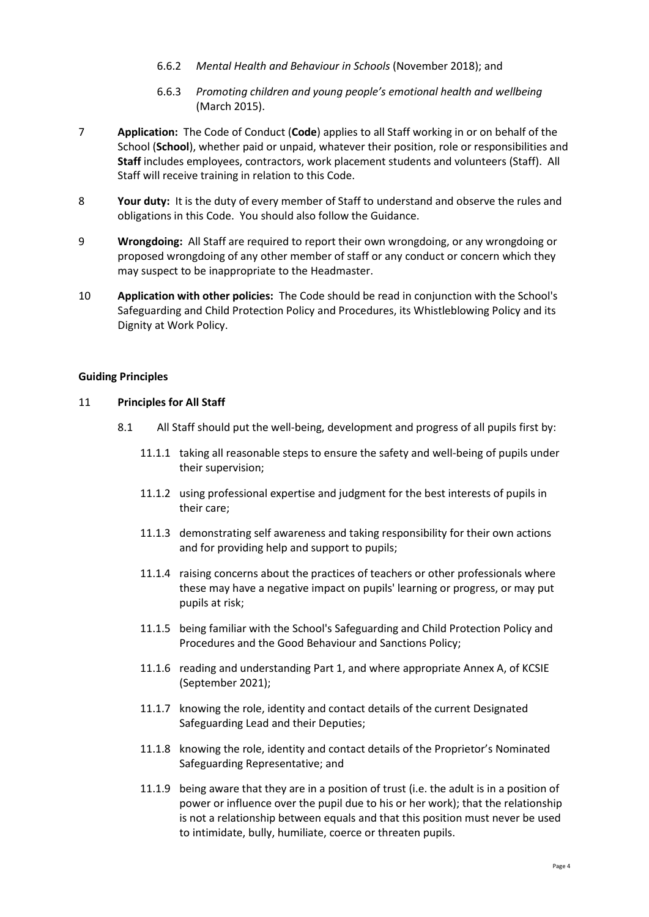- 6.6.2 *Mental Health and Behaviour in Schools* (November 2018); and
- 6.6.3 *Promoting children and young people's emotional health and wellbeing*  (March 2015).
- 7 **Application:** The Code of Conduct (**Code**) applies to all Staff working in or on behalf of the School (**School**), whether paid or unpaid, whatever their position, role or responsibilities and **Staff** includes employees, contractors, work placement students and volunteers (Staff). All Staff will receive training in relation to this Code.
- 8 **Your duty:** It is the duty of every member of Staff to understand and observe the rules and obligations in this Code. You should also follow the Guidance.
- 9 **Wrongdoing:** All Staff are required to report their own wrongdoing, or any wrongdoing or proposed wrongdoing of any other member of staff or any conduct or concern which they may suspect to be inappropriate to the Headmaster.
- 10 **Application with other policies:** The Code should be read in conjunction with the School's Safeguarding and Child Protection Policy and Procedures, its Whistleblowing Policy and its Dignity at Work Policy.

#### **Guiding Principles**

# 11 **Principles for All Staff**

- 8.1 All Staff should put the well-being, development and progress of all pupils first by:
	- 11.1.1 taking all reasonable steps to ensure the safety and well-being of pupils under their supervision;
	- 11.1.2 using professional expertise and judgment for the best interests of pupils in their care;
	- 11.1.3 demonstrating self awareness and taking responsibility for their own actions and for providing help and support to pupils;
	- 11.1.4 raising concerns about the practices of teachers or other professionals where these may have a negative impact on pupils' learning or progress, or may put pupils at risk;
	- 11.1.5 being familiar with the School's Safeguarding and Child Protection Policy and Procedures and the Good Behaviour and Sanctions Policy;
	- 11.1.6 reading and understanding Part 1, and where appropriate Annex A, of KCSIE (September 2021);
	- 11.1.7 knowing the role, identity and contact details of the current Designated Safeguarding Lead and their Deputies;
	- 11.1.8 knowing the role, identity and contact details of the Proprietor's Nominated Safeguarding Representative; and
	- 11.1.9 being aware that they are in a position of trust (i.e. the adult is in a position of power or influence over the pupil due to his or her work); that the relationship is not a relationship between equals and that this position must never be used to intimidate, bully, humiliate, coerce or threaten pupils.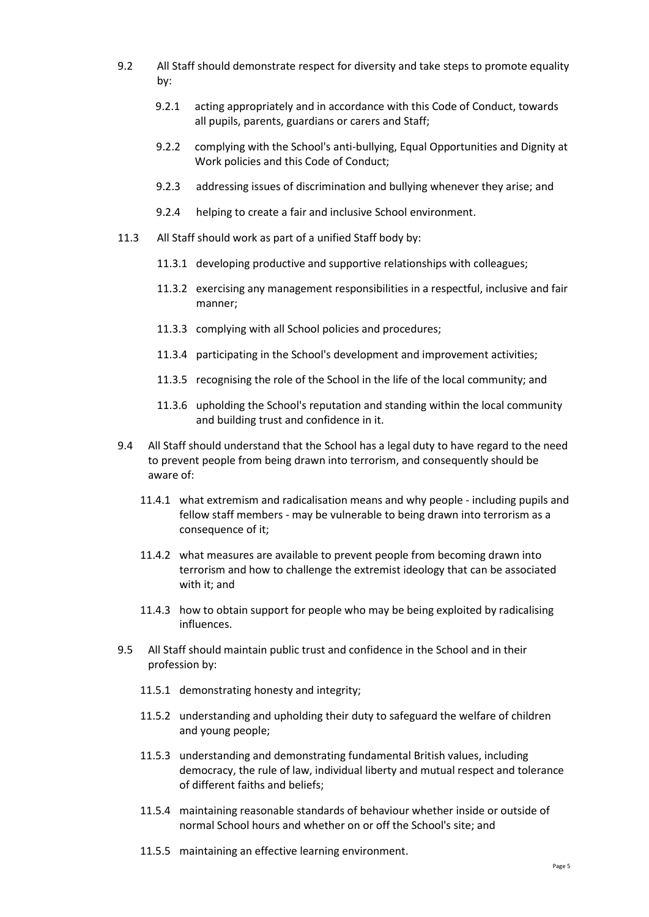- 9.2 All Staff should demonstrate respect for diversity and take steps to promote equality by:
	- 9.2.1 acting appropriately and in accordance with this Code of Conduct, towards all pupils, parents, guardians or carers and Staff;
	- 9.2.2 complying with the School's anti-bullying, Equal Opportunities and Dignity at Work policies and this Code of Conduct;
	- 9.2.3 addressing issues of discrimination and bullying whenever they arise; and
	- 9.2.4 helping to create a fair and inclusive School environment.
- 11.3 All Staff should work as part of a unified Staff body by:
	- 11.3.1 developing productive and supportive relationships with colleagues;
	- 11.3.2 exercising any management responsibilities in a respectful, inclusive and fair manner;
	- 11.3.3 complying with all School policies and procedures;
	- 11.3.4 participating in the School's development and improvement activities;
	- 11.3.5 recognising the role of the School in the life of the local community; and
	- 11.3.6 upholding the School's reputation and standing within the local community and building trust and confidence in it.
- 9.4 All Staff should understand that the School has a legal duty to have regard to the need to prevent people from being drawn into terrorism, and consequently should be aware of:
	- 11.4.1 what extremism and radicalisation means and why people including pupils and fellow staff members - may be vulnerable to being drawn into terrorism as a consequence of it;
	- 11.4.2 what measures are available to prevent people from becoming drawn into terrorism and how to challenge the extremist ideology that can be associated with it; and
	- 11.4.3 how to obtain support for people who may be being exploited by radicalising influences.
- 9.5 All Staff should maintain public trust and confidence in the School and in their profession by:
	- 11.5.1 demonstrating honesty and integrity;
	- 11.5.2 understanding and upholding their duty to safeguard the welfare of children and young people;
	- 11.5.3 understanding and demonstrating fundamental British values, including democracy, the rule of law, individual liberty and mutual respect and tolerance of different faiths and beliefs;
	- 11.5.4 maintaining reasonable standards of behaviour whether inside or outside of normal School hours and whether on or off the School's site; and
	- 11.5.5 maintaining an effective learning environment.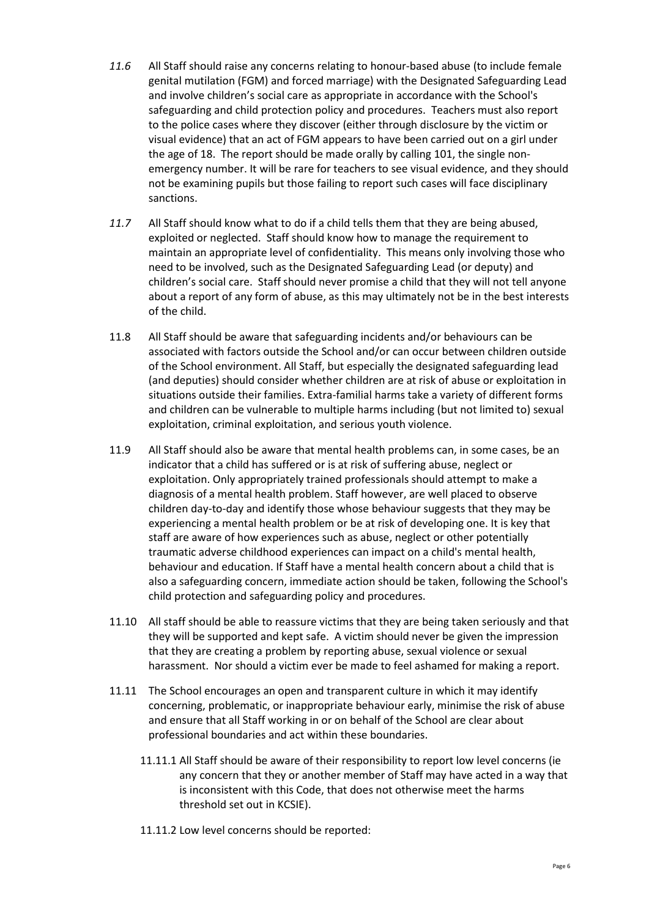- *11.6* All Staff should raise any concerns relating to honour-based abuse (to include female genital mutilation (FGM) and forced marriage) with the Designated Safeguarding Lead and involve children's social care as appropriate in accordance with the School's safeguarding and child protection policy and procedures. Teachers must also report to the police cases where they discover (either through disclosure by the victim or visual evidence) that an act of FGM appears to have been carried out on a girl under the age of 18. The report should be made orally by calling 101, the single nonemergency number. It will be rare for teachers to see visual evidence, and they should not be examining pupils but those failing to report such cases will face disciplinary sanctions.
- *11.7* All Staff should know what to do if a child tells them that they are being abused, exploited or neglected. Staff should know how to manage the requirement to maintain an appropriate level of confidentiality. This means only involving those who need to be involved, such as the Designated Safeguarding Lead (or deputy) and children's social care. Staff should never promise a child that they will not tell anyone about a report of any form of abuse, as this may ultimately not be in the best interests of the child.
- 11.8 All Staff should be aware that safeguarding incidents and/or behaviours can be associated with factors outside the School and/or can occur between children outside of the School environment. All Staff, but especially the designated safeguarding lead (and deputies) should consider whether children are at risk of abuse or exploitation in situations outside their families. Extra-familial harms take a variety of different forms and children can be vulnerable to multiple harms including (but not limited to) sexual exploitation, criminal exploitation, and serious youth violence.
- 11.9 All Staff should also be aware that mental health problems can, in some cases, be an indicator that a child has suffered or is at risk of suffering abuse, neglect or exploitation. Only appropriately trained professionals should attempt to make a diagnosis of a mental health problem. Staff however, are well placed to observe children day-to-day and identify those whose behaviour suggests that they may be experiencing a mental health problem or be at risk of developing one. It is key that staff are aware of how experiences such as abuse, neglect or other potentially traumatic adverse childhood experiences can impact on a child's mental health, behaviour and education. If Staff have a mental health concern about a child that is also a safeguarding concern, immediate action should be taken, following the School's child protection and safeguarding policy and procedures.
- 11.10 All staff should be able to reassure victims that they are being taken seriously and that they will be supported and kept safe. A victim should never be given the impression that they are creating a problem by reporting abuse, sexual violence or sexual harassment. Nor should a victim ever be made to feel ashamed for making a report.
- 11.11 The School encourages an open and transparent culture in which it may identify concerning, problematic, or inappropriate behaviour early, minimise the risk of abuse and ensure that all Staff working in or on behalf of the School are clear about professional boundaries and act within these boundaries.
	- 11.11.1 All Staff should be aware of their responsibility to report low level concerns (ie any concern that they or another member of Staff may have acted in a way that is inconsistent with this Code, that does not otherwise meet the harms threshold set out in KCSIE).
	- 11.11.2 Low level concerns should be reported: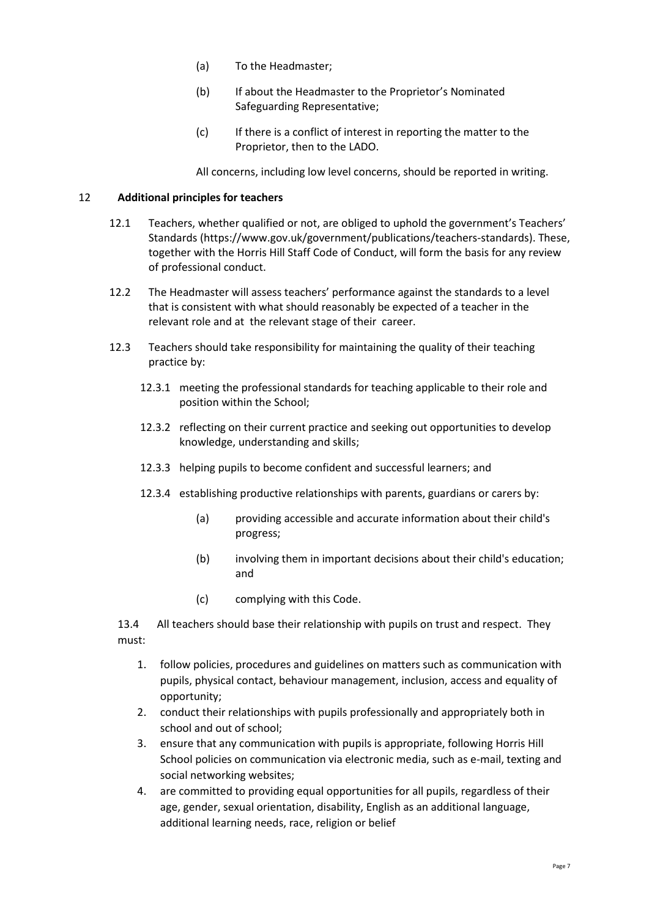- (a) To the Headmaster;
- (b) If about the Headmaster to the Proprietor's Nominated Safeguarding Representative;
- (c) If there is a conflict of interest in reporting the matter to the Proprietor, then to the LADO.

All concerns, including low level concerns, should be reported in writing.

## 12 **Additional principles for teachers**

- 12.1 Teachers, whether qualified or not, are obliged to uphold the government's Teachers' Standards [\(https://www.gov.uk/government/publications/teachers-standards\).](https://www.gov.uk/government/publications/teachers-standards).) These, together with the Horris Hill Staff Code of Conduct, will form the basis for any review of professional conduct.
- 12.2 The Headmaster will assess teachers' performance against the standards to a level that is consistent with what should reasonably be expected of a teacher in the relevant role and at the relevant stage of their career.
- 12.3 Teachers should take responsibility for maintaining the quality of their teaching practice by:
	- 12.3.1 meeting the professional standards for teaching applicable to their role and position within the School;
	- 12.3.2 reflecting on their current practice and seeking out opportunities to develop knowledge, understanding and skills;
	- 12.3.3 helping pupils to become confident and successful learners; and
	- 12.3.4 establishing productive relationships with parents, guardians or carers by:
		- (a) providing accessible and accurate information about their child's progress;
		- (b) involving them in important decisions about their child's education; and
		- (c) complying with this Code.

13.4 All teachers should base their relationship with pupils on trust and respect. They must:

- 1. follow policies, procedures and guidelines on matters such as communication with pupils, physical contact, behaviour management, inclusion, access and equality of opportunity;
- 2. conduct their relationships with pupils professionally and appropriately both in school and out of school;
- 3. ensure that any communication with pupils is appropriate, following Horris Hill School policies on communication via electronic media, such as e-mail, texting and social networking websites;
- 4. are committed to providing equal opportunities for all pupils, regardless of their age, gender, sexual orientation, disability, English as an additional language, additional learning needs, race, religion or belief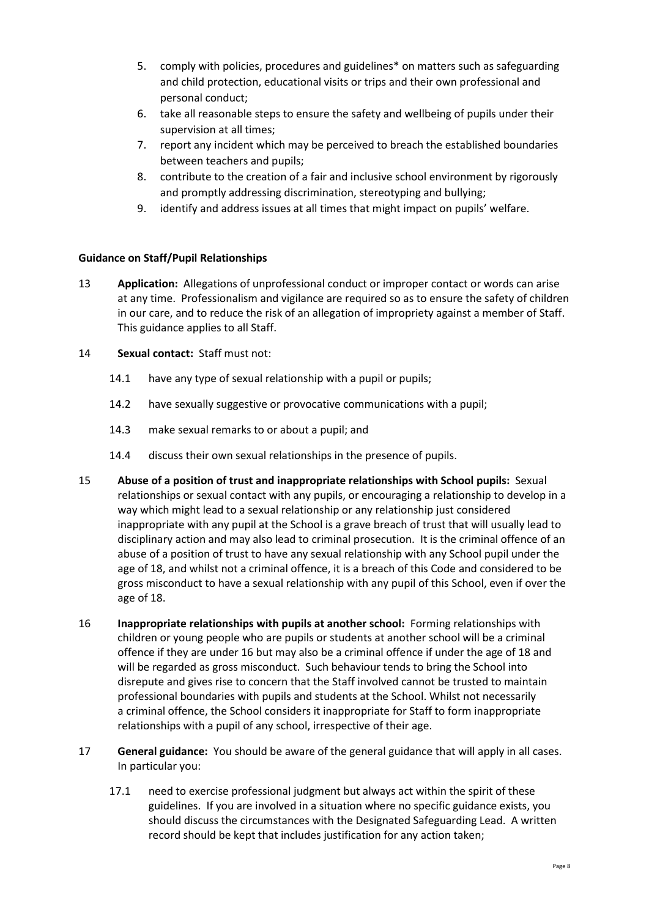- 5. comply with policies, procedures and guidelines\* on matters such as safeguarding and child protection, educational visits or trips and their own professional and personal conduct;
- 6. take all reasonable steps to ensure the safety and wellbeing of pupils under their supervision at all times;
- 7. report any incident which may be perceived to breach the established boundaries between teachers and pupils;
- 8. contribute to the creation of a fair and inclusive school environment by rigorously and promptly addressing discrimination, stereotyping and bullying;
- 9. identify and address issues at all times that might impact on pupils' welfare.

# **Guidance on Staff/Pupil Relationships**

13 **Application:** Allegations of unprofessional conduct or improper contact or words can arise at any time. Professionalism and vigilance are required so as to ensure the safety of children in our care, and to reduce the risk of an allegation of impropriety against a member of Staff. This guidance applies to all Staff.

#### 14 **Sexual contact:** Staff must not:

- 14.1 have any type of sexual relationship with a pupil or pupils;
- 14.2 have sexually suggestive or provocative communications with a pupil;
- 14.3 make sexual remarks to or about a pupil; and
- 14.4 discuss their own sexual relationships in the presence of pupils.
- 15 **Abuse of a position of trust and inappropriate relationships with School pupils:** Sexual relationships or sexual contact with any pupils, or encouraging a relationship to develop in a way which might lead to a sexual relationship or any relationship just considered inappropriate with any pupil at the School is a grave breach of trust that will usually lead to disciplinary action and may also lead to criminal prosecution. It is the criminal offence of an abuse of a position of trust to have any sexual relationship with any School pupil under the age of 18, and whilst not a criminal offence, it is a breach of this Code and considered to be gross misconduct to have a sexual relationship with any pupil of this School, even if over the age of 18.
- 16 **Inappropriate relationships with pupils at another school:** Forming relationships with children or young people who are pupils or students at another school will be a criminal offence if they are under 16 but may also be a criminal offence if under the age of 18 and will be regarded as gross misconduct. Such behaviour tends to bring the School into disrepute and gives rise to concern that the Staff involved cannot be trusted to maintain professional boundaries with pupils and students at the School. Whilst not necessarily a criminal offence, the School considers it inappropriate for Staff to form inappropriate relationships with a pupil of any school, irrespective of their age.
- 17 **General guidance:** You should be aware of the general guidance that will apply in all cases. In particular you:
	- 17.1 need to exercise professional judgment but always act within the spirit of these guidelines. If you are involved in a situation where no specific guidance exists, you should discuss the circumstances with the Designated Safeguarding Lead. A written record should be kept that includes justification for any action taken;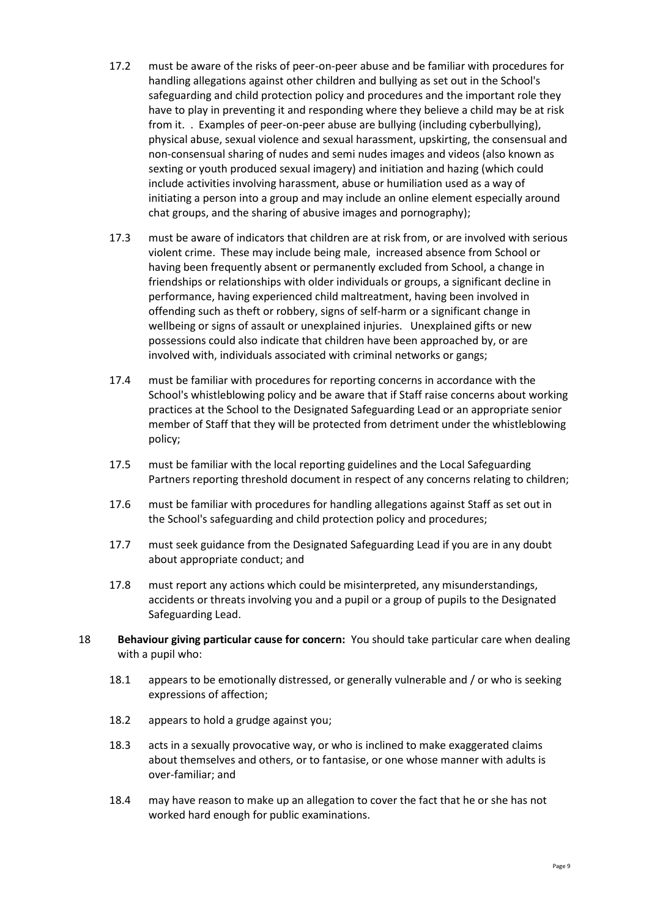- 17.2 must be aware of the risks of peer-on-peer abuse and be familiar with procedures for handling allegations against other children and bullying as set out in the School's safeguarding and child protection policy and procedures and the important role they have to play in preventing it and responding where they believe a child may be at risk from it. . Examples of peer-on-peer abuse are bullying (including cyberbullying), physical abuse, sexual violence and sexual harassment, upskirting, the consensual and non-consensual sharing of nudes and semi nudes images and videos (also known as sexting or youth produced sexual imagery) and initiation and hazing (which could include activities involving harassment, abuse or humiliation used as a way of initiating a person into a group and may include an online element especially around chat groups, and the sharing of abusive images and pornography);
- 17.3 must be aware of indicators that children are at risk from, or are involved with serious violent crime. These may include being male, increased absence from School or having been frequently absent or permanently excluded from School, a change in friendships or relationships with older individuals or groups, a significant decline in performance, having experienced child maltreatment, having been involved in offending such as theft or robbery, signs of self-harm or a significant change in wellbeing or signs of assault or unexplained injuries. Unexplained gifts or new possessions could also indicate that children have been approached by, or are involved with, individuals associated with criminal networks or gangs;
- 17.4 must be familiar with procedures for reporting concerns in accordance with the School's whistleblowing policy and be aware that if Staff raise concerns about working practices at the School to the Designated Safeguarding Lead or an appropriate senior member of Staff that they will be protected from detriment under the whistleblowing policy;
- 17.5 must be familiar with the local reporting guidelines and the Local Safeguarding Partners reporting threshold document in respect of any concerns relating to children;
- 17.6 must be familiar with procedures for handling allegations against Staff as set out in the School's safeguarding and child protection policy and procedures;
- 17.7 must seek guidance from the Designated Safeguarding Lead if you are in any doubt about appropriate conduct; and
- 17.8 must report any actions which could be misinterpreted, any misunderstandings, accidents or threats involving you and a pupil or a group of pupils to the Designated Safeguarding Lead.
- 18 **Behaviour giving particular cause for concern:** You should take particular care when dealing with a pupil who:
	- 18.1 appears to be emotionally distressed, or generally vulnerable and / or who is seeking expressions of affection;
	- 18.2 appears to hold a grudge against you;
	- 18.3 acts in a sexually provocative way, or who is inclined to make exaggerated claims about themselves and others, or to fantasise, or one whose manner with adults is over-familiar; and
	- 18.4 may have reason to make up an allegation to cover the fact that he or she has not worked hard enough for public examinations.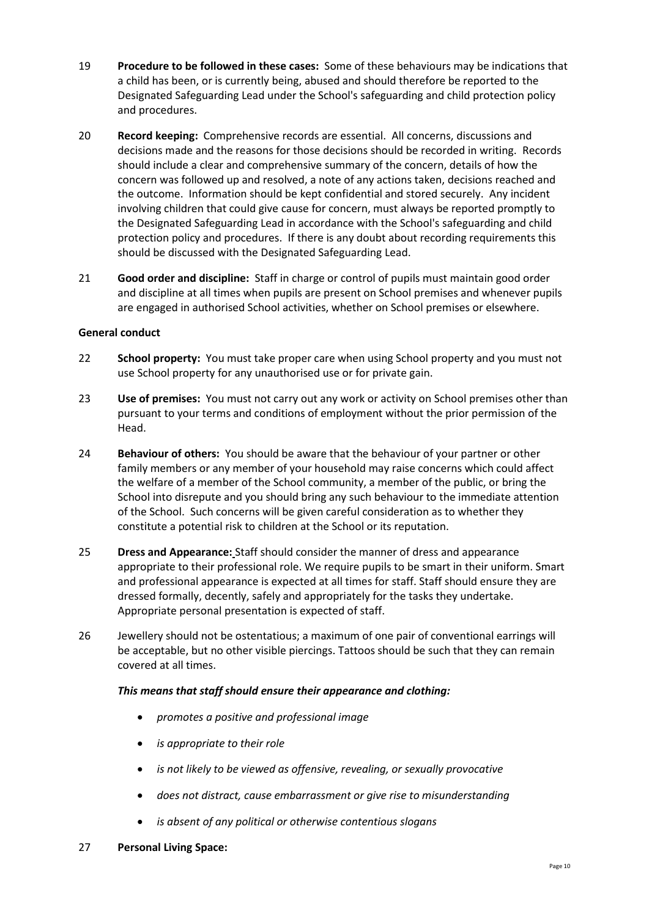- 19 **Procedure to be followed in these cases:** Some of these behaviours may be indications that a child has been, or is currently being, abused and should therefore be reported to the Designated Safeguarding Lead under the School's safeguarding and child protection policy and procedures.
- 20 **Record keeping:** Comprehensive records are essential. All concerns, discussions and decisions made and the reasons for those decisions should be recorded in writing. Records should include a clear and comprehensive summary of the concern, details of how the concern was followed up and resolved, a note of any actions taken, decisions reached and the outcome. Information should be kept confidential and stored securely. Any incident involving children that could give cause for concern, must always be reported promptly to the Designated Safeguarding Lead in accordance with the School's safeguarding and child protection policy and procedures. If there is any doubt about recording requirements this should be discussed with the Designated Safeguarding Lead.
- 21 **Good order and discipline:** Staff in charge or control of pupils must maintain good order and discipline at all times when pupils are present on School premises and whenever pupils are engaged in authorised School activities, whether on School premises or elsewhere.

# **General conduct**

- 22 **School property:** You must take proper care when using School property and you must not use School property for any unauthorised use or for private gain.
- 23 **Use of premises:** You must not carry out any work or activity on School premises other than pursuant to your terms and conditions of employment without the prior permission of the Head.
- 24 **Behaviour of others:** You should be aware that the behaviour of your partner or other family members or any member of your household may raise concerns which could affect the welfare of a member of the School community, a member of the public, or bring the School into disrepute and you should bring any such behaviour to the immediate attention of the School. Such concerns will be given careful consideration as to whether they constitute a potential risk to children at the School or its reputation.
- 25 **Dress and Appearance:** Staff should consider the manner of dress and appearance appropriate to their professional role. We require pupils to be smart in their uniform. Smart and professional appearance is expected at all times for staff. Staff should ensure they are dressed formally, decently, safely and appropriately for the tasks they undertake. Appropriate personal presentation is expected of staff.
- 26 Jewellery should not be ostentatious; a maximum of one pair of conventional earrings will be acceptable, but no other visible piercings. Tattoos should be such that they can remain covered at all times.

#### *This means that staff should ensure their appearance and clothing:*

- *promotes a positive and professional image*
- *is appropriate to their role*
- *is not likely to be viewed as offensive, revealing, or sexually provocative*
- *does not distract, cause embarrassment or give rise to misunderstanding*
- *is absent of any political or otherwise contentious slogans*

#### 27 **Personal Living Space:**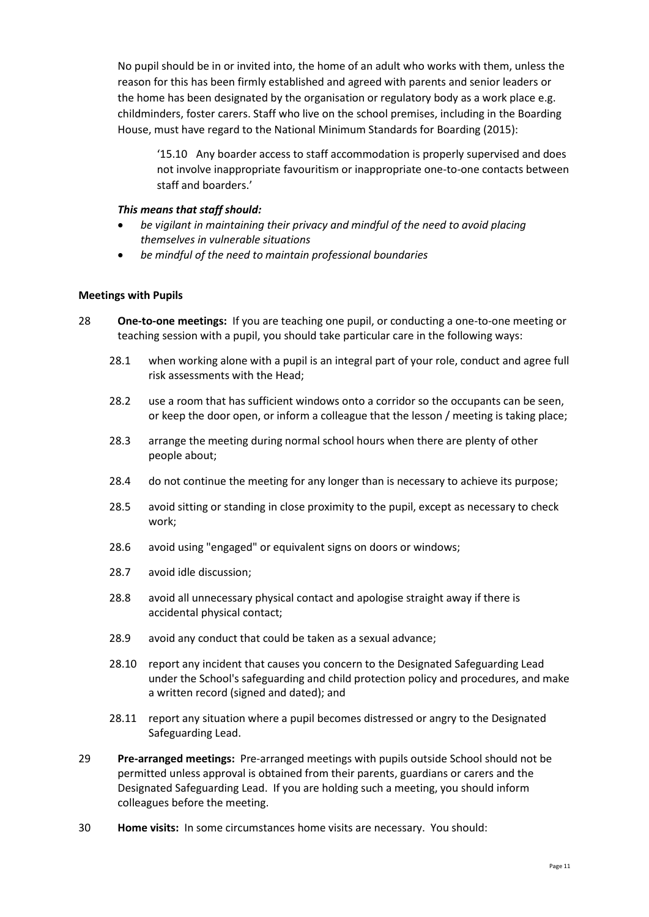No pupil should be in or invited into, the home of an adult who works with them, unless the reason for this has been firmly established and agreed with parents and senior leaders or the home has been designated by the organisation or regulatory body as a work place e.g. childminders, foster carers. Staff who live on the school premises, including in the Boarding House, must have regard to the National Minimum Standards for Boarding (2015):

'15.10 Any boarder access to staff accommodation is properly supervised and does not involve inappropriate favouritism or inappropriate one-to-one contacts between staff and boarders.'

#### *This means that staff should:*

- *be vigilant in maintaining their privacy and mindful of the need to avoid placing themselves in vulnerable situations*
- *be mindful of the need to maintain professional boundaries*

#### **Meetings with Pupils**

- 28 **One-to-one meetings:** If you are teaching one pupil, or conducting a one-to-one meeting or teaching session with a pupil, you should take particular care in the following ways:
	- 28.1 when working alone with a pupil is an integral part of your role, conduct and agree full risk assessments with the Head;
	- 28.2 use a room that has sufficient windows onto a corridor so the occupants can be seen, or keep the door open, or inform a colleague that the lesson / meeting is taking place;
	- 28.3 arrange the meeting during normal school hours when there are plenty of other people about;
	- 28.4 do not continue the meeting for any longer than is necessary to achieve its purpose;
	- 28.5 avoid sitting or standing in close proximity to the pupil, except as necessary to check work;
	- 28.6 avoid using "engaged" or equivalent signs on doors or windows;
	- 28.7 avoid idle discussion;
	- 28.8 avoid all unnecessary physical contact and apologise straight away if there is accidental physical contact;
	- 28.9 avoid any conduct that could be taken as a sexual advance;
	- 28.10 report any incident that causes you concern to the Designated Safeguarding Lead under the School's safeguarding and child protection policy and procedures, and make a written record (signed and dated); and
	- 28.11 report any situation where a pupil becomes distressed or angry to the Designated Safeguarding Lead.
- 29 **Pre-arranged meetings:** Pre-arranged meetings with pupils outside School should not be permitted unless approval is obtained from their parents, guardians or carers and the Designated Safeguarding Lead. If you are holding such a meeting, you should inform colleagues before the meeting.
- 30 **Home visits:** In some circumstances home visits are necessary. You should: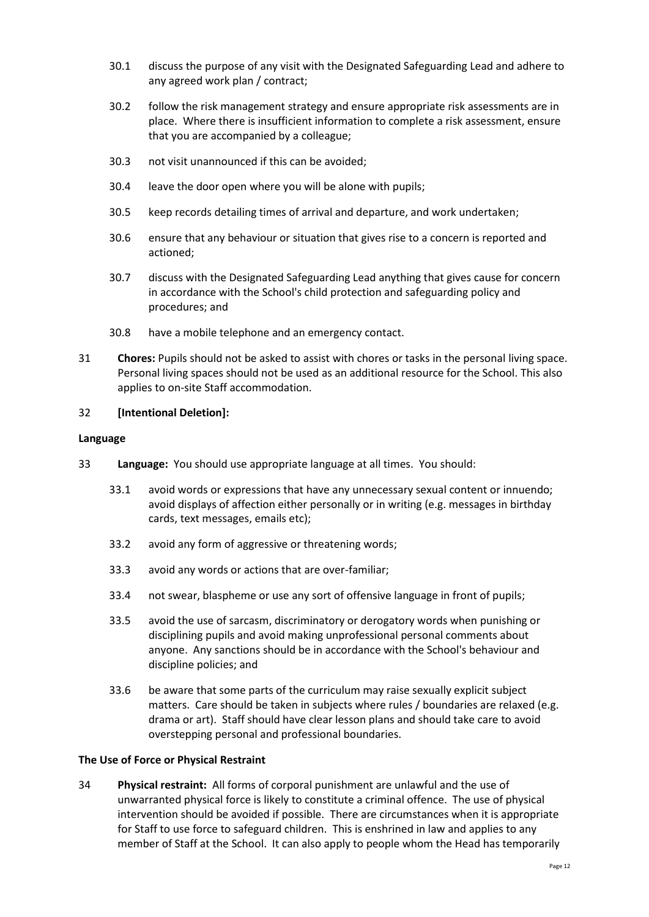- 30.1 discuss the purpose of any visit with the Designated Safeguarding Lead and adhere to any agreed work plan / contract;
- 30.2 follow the risk management strategy and ensure appropriate risk assessments are in place. Where there is insufficient information to complete a risk assessment, ensure that you are accompanied by a colleague;
- 30.3 not visit unannounced if this can be avoided;
- 30.4 leave the door open where you will be alone with pupils;
- 30.5 keep records detailing times of arrival and departure, and work undertaken;
- 30.6 ensure that any behaviour or situation that gives rise to a concern is reported and actioned;
- 30.7 discuss with the Designated Safeguarding Lead anything that gives cause for concern in accordance with the School's child protection and safeguarding policy and procedures; and
- 30.8 have a mobile telephone and an emergency contact.
- 31 **Chores:** Pupils should not be asked to assist with chores or tasks in the personal living space. Personal living spaces should not be used as an additional resource for the School. This also applies to on-site Staff accommodation.

#### 32 **[Intentional Deletion]:**

#### **Language**

- 33 **Language:** You should use appropriate language at all times. You should:
	- 33.1 avoid words or expressions that have any unnecessary sexual content or innuendo; avoid displays of affection either personally or in writing (e.g. messages in birthday cards, text messages, emails etc);
	- 33.2 avoid any form of aggressive or threatening words;
	- 33.3 avoid any words or actions that are over-familiar;
	- 33.4 not swear, blaspheme or use any sort of offensive language in front of pupils;
	- 33.5 avoid the use of sarcasm, discriminatory or derogatory words when punishing or disciplining pupils and avoid making unprofessional personal comments about anyone. Any sanctions should be in accordance with the School's behaviour and discipline policies; and
	- 33.6 be aware that some parts of the curriculum may raise sexually explicit subject matters. Care should be taken in subjects where rules / boundaries are relaxed (e.g. drama or art). Staff should have clear lesson plans and should take care to avoid overstepping personal and professional boundaries.

#### **The Use of Force or Physical Restraint**

34 **Physical restraint:** All forms of corporal punishment are unlawful and the use of unwarranted physical force is likely to constitute a criminal offence. The use of physical intervention should be avoided if possible. There are circumstances when it is appropriate for Staff to use force to safeguard children. This is enshrined in law and applies to any member of Staff at the School. It can also apply to people whom the Head has temporarily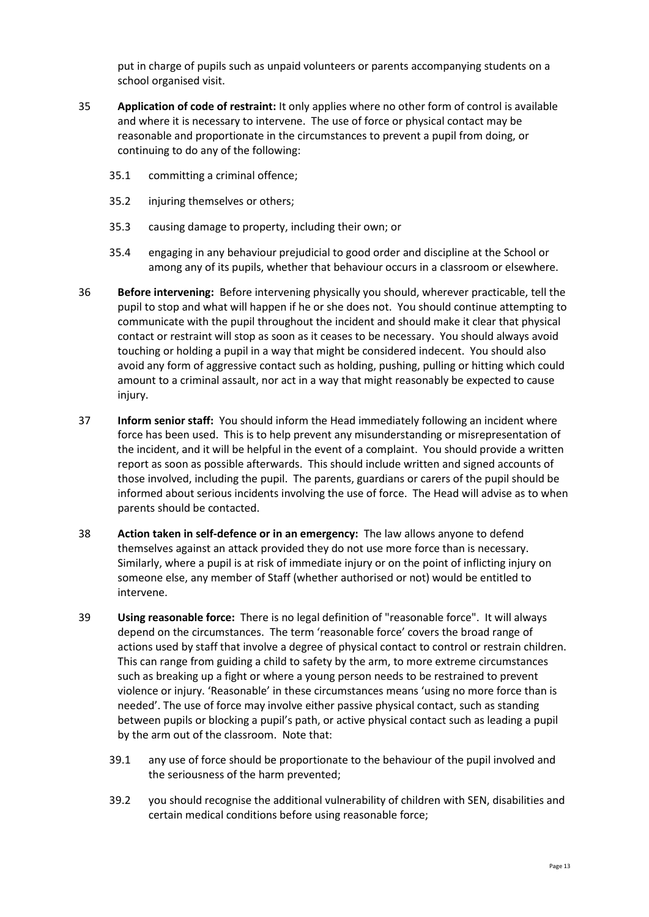put in charge of pupils such as unpaid volunteers or parents accompanying students on a school organised visit.

- 35 **Application of code of restraint:** It only applies where no other form of control is available and where it is necessary to intervene. The use of force or physical contact may be reasonable and proportionate in the circumstances to prevent a pupil from doing, or continuing to do any of the following:
	- 35.1 committing a criminal offence;
	- 35.2 injuring themselves or others;
	- 35.3 causing damage to property, including their own; or
	- 35.4 engaging in any behaviour prejudicial to good order and discipline at the School or among any of its pupils, whether that behaviour occurs in a classroom or elsewhere.
- 36 **Before intervening:** Before intervening physically you should, wherever practicable, tell the pupil to stop and what will happen if he or she does not. You should continue attempting to communicate with the pupil throughout the incident and should make it clear that physical contact or restraint will stop as soon as it ceases to be necessary. You should always avoid touching or holding a pupil in a way that might be considered indecent. You should also avoid any form of aggressive contact such as holding, pushing, pulling or hitting which could amount to a criminal assault, nor act in a way that might reasonably be expected to cause injury.
- 37 **Inform senior staff:** You should inform the Head immediately following an incident where force has been used. This is to help prevent any misunderstanding or misrepresentation of the incident, and it will be helpful in the event of a complaint. You should provide a written report as soon as possible afterwards. This should include written and signed accounts of those involved, including the pupil. The parents, guardians or carers of the pupil should be informed about serious incidents involving the use of force. The Head will advise as to when parents should be contacted.
- 38 **Action taken in self-defence or in an emergency:** The law allows anyone to defend themselves against an attack provided they do not use more force than is necessary. Similarly, where a pupil is at risk of immediate injury or on the point of inflicting injury on someone else, any member of Staff (whether authorised or not) would be entitled to intervene.
- 39 **Using reasonable force:** There is no legal definition of "reasonable force". It will always depend on the circumstances. The term 'reasonable force' covers the broad range of actions used by staff that involve a degree of physical contact to control or restrain children. This can range from guiding a child to safety by the arm, to more extreme circumstances such as breaking up a fight or where a young person needs to be restrained to prevent violence or injury. 'Reasonable' in these circumstances means 'using no more force than is needed'. The use of force may involve either passive physical contact, such as standing between pupils or blocking a pupil's path, or active physical contact such as leading a pupil by the arm out of the classroom. Note that:
	- 39.1 any use of force should be proportionate to the behaviour of the pupil involved and the seriousness of the harm prevented;
	- 39.2 you should recognise the additional vulnerability of children with SEN, disabilities and certain medical conditions before using reasonable force;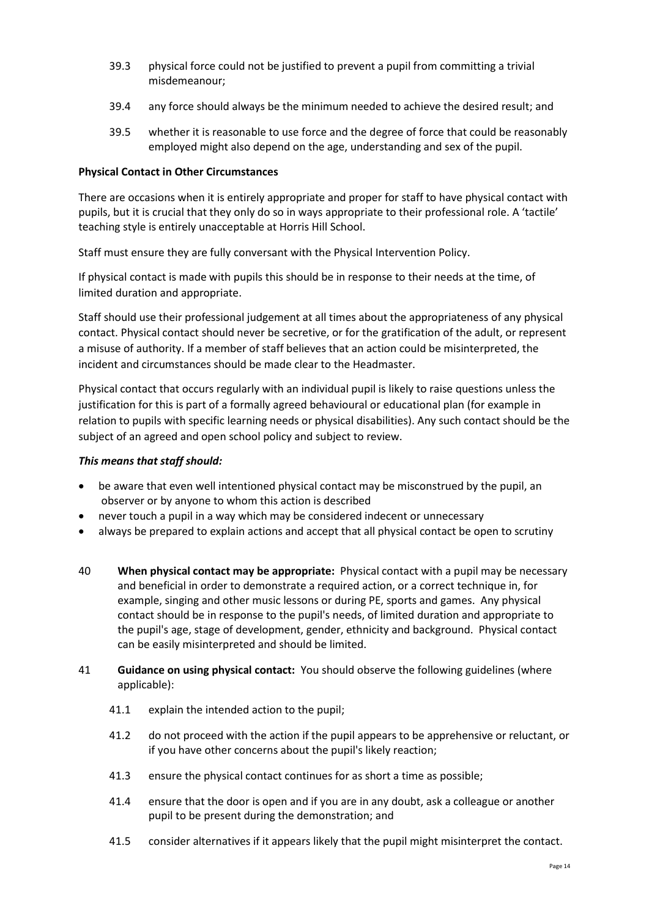- 39.3 physical force could not be justified to prevent a pupil from committing a trivial misdemeanour;
- 39.4 any force should always be the minimum needed to achieve the desired result; and
- 39.5 whether it is reasonable to use force and the degree of force that could be reasonably employed might also depend on the age, understanding and sex of the pupil.

## **Physical Contact in Other Circumstances**

There are occasions when it is entirely appropriate and proper for staff to have physical contact with pupils, but it is crucial that they only do so in ways appropriate to their professional role. A 'tactile' teaching style is entirely unacceptable at Horris Hill School.

Staff must ensure they are fully conversant with the Physical Intervention Policy.

If physical contact is made with pupils this should be in response to their needs at the time, of limited duration and appropriate.

Staff should use their professional judgement at all times about the appropriateness of any physical contact. Physical contact should never be secretive, or for the gratification of the adult, or represent a misuse of authority. If a member of staff believes that an action could be misinterpreted, the incident and circumstances should be made clear to the Headmaster.

Physical contact that occurs regularly with an individual pupil is likely to raise questions unless the justification for this is part of a formally agreed behavioural or educational plan (for example in relation to pupils with specific learning needs or physical disabilities). Any such contact should be the subject of an agreed and open school policy and subject to review.

#### *This means that staff should:*

- be aware that even well intentioned physical contact may be misconstrued by the pupil, an observer or by anyone to whom this action is described
- never touch a pupil in a way which may be considered indecent or unnecessary
- always be prepared to explain actions and accept that all physical contact be open to scrutiny
- 40 **When physical contact may be appropriate:** Physical contact with a pupil may be necessary and beneficial in order to demonstrate a required action, or a correct technique in, for example, singing and other music lessons or during PE, sports and games. Any physical contact should be in response to the pupil's needs, of limited duration and appropriate to the pupil's age, stage of development, gender, ethnicity and background. Physical contact can be easily misinterpreted and should be limited.
- 41 **Guidance on using physical contact:** You should observe the following guidelines (where applicable):
	- 41.1 explain the intended action to the pupil;
	- 41.2 do not proceed with the action if the pupil appears to be apprehensive or reluctant, or if you have other concerns about the pupil's likely reaction;
	- 41.3 ensure the physical contact continues for as short a time as possible;
	- 41.4 ensure that the door is open and if you are in any doubt, ask a colleague or another pupil to be present during the demonstration; and
	- 41.5 consider alternatives if it appears likely that the pupil might misinterpret the contact.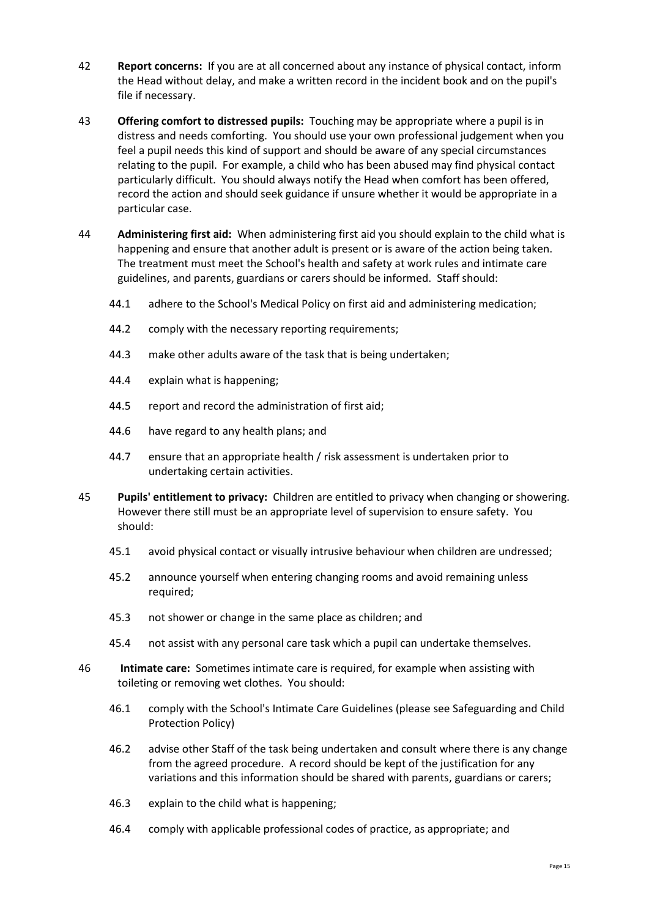- 42 **Report concerns:** If you are at all concerned about any instance of physical contact, inform the Head without delay, and make a written record in the incident book and on the pupil's file if necessary.
- 43 **Offering comfort to distressed pupils:** Touching may be appropriate where a pupil is in distress and needs comforting. You should use your own professional judgement when you feel a pupil needs this kind of support and should be aware of any special circumstances relating to the pupil. For example, a child who has been abused may find physical contact particularly difficult. You should always notify the Head when comfort has been offered, record the action and should seek guidance if unsure whether it would be appropriate in a particular case.
- 44 **Administering first aid:** When administering first aid you should explain to the child what is happening and ensure that another adult is present or is aware of the action being taken. The treatment must meet the School's health and safety at work rules and intimate care guidelines, and parents, guardians or carers should be informed. Staff should:
	- 44.1 adhere to the School's Medical Policy on first aid and administering medication;
	- 44.2 comply with the necessary reporting requirements;
	- 44.3 make other adults aware of the task that is being undertaken;
	- 44.4 explain what is happening;
	- 44.5 report and record the administration of first aid;
	- 44.6 have regard to any health plans; and
	- 44.7 ensure that an appropriate health / risk assessment is undertaken prior to undertaking certain activities.
- 45 **Pupils' entitlement to privacy:** Children are entitled to privacy when changing or showering. However there still must be an appropriate level of supervision to ensure safety. You should:
	- 45.1 avoid physical contact or visually intrusive behaviour when children are undressed;
	- 45.2 announce yourself when entering changing rooms and avoid remaining unless required;
	- 45.3 not shower or change in the same place as children; and
	- 45.4 not assist with any personal care task which a pupil can undertake themselves.
- 46 **Intimate care:** Sometimes intimate care is required, for example when assisting with toileting or removing wet clothes. You should:
	- 46.1 comply with the School's Intimate Care Guidelines (please see Safeguarding and Child Protection Policy)
	- 46.2 advise other Staff of the task being undertaken and consult where there is any change from the agreed procedure. A record should be kept of the justification for any variations and this information should be shared with parents, guardians or carers;
	- 46.3 explain to the child what is happening;
	- 46.4 comply with applicable professional codes of practice, as appropriate; and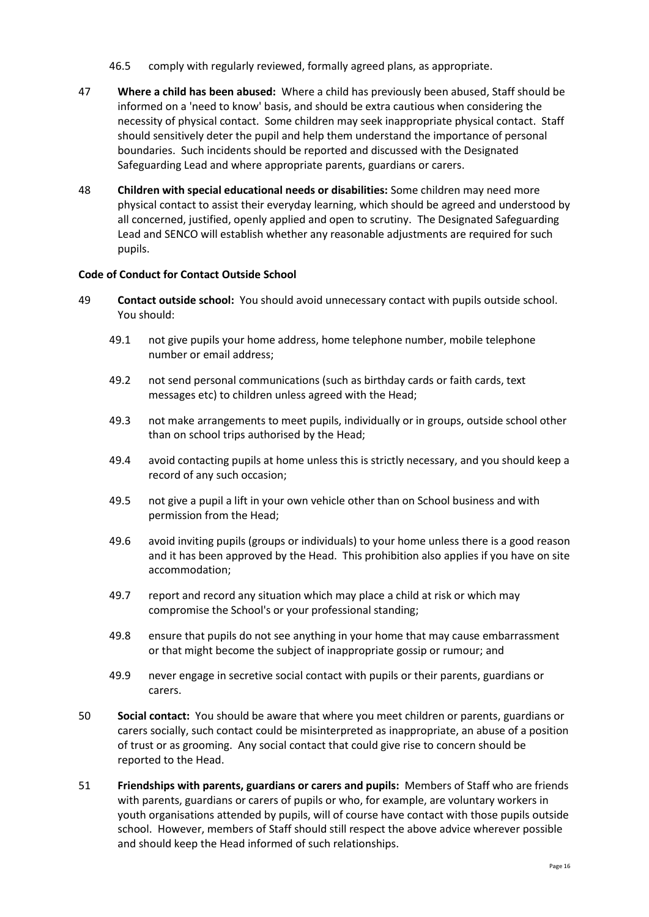- 46.5 comply with regularly reviewed, formally agreed plans, as appropriate.
- 47 **Where a child has been abused:** Where a child has previously been abused, Staff should be informed on a 'need to know' basis, and should be extra cautious when considering the necessity of physical contact. Some children may seek inappropriate physical contact. Staff should sensitively deter the pupil and help them understand the importance of personal boundaries. Such incidents should be reported and discussed with the Designated Safeguarding Lead and where appropriate parents, guardians or carers.
- 48 **Children with special educational needs or disabilities:** Some children may need more physical contact to assist their everyday learning, which should be agreed and understood by all concerned, justified, openly applied and open to scrutiny. The Designated Safeguarding Lead and SENCO will establish whether any reasonable adjustments are required for such pupils.

#### **Code of Conduct for Contact Outside School**

- 49 **Contact outside school:** You should avoid unnecessary contact with pupils outside school. You should:
	- 49.1 not give pupils your home address, home telephone number, mobile telephone number or email address;
	- 49.2 not send personal communications (such as birthday cards or faith cards, text messages etc) to children unless agreed with the Head;
	- 49.3 not make arrangements to meet pupils, individually or in groups, outside school other than on school trips authorised by the Head;
	- 49.4 avoid contacting pupils at home unless this is strictly necessary, and you should keep a record of any such occasion;
	- 49.5 not give a pupil a lift in your own vehicle other than on School business and with permission from the Head;
	- 49.6 avoid inviting pupils (groups or individuals) to your home unless there is a good reason and it has been approved by the Head. This prohibition also applies if you have on site accommodation;
	- 49.7 report and record any situation which may place a child at risk or which may compromise the School's or your professional standing;
	- 49.8 ensure that pupils do not see anything in your home that may cause embarrassment or that might become the subject of inappropriate gossip or rumour; and
	- 49.9 never engage in secretive social contact with pupils or their parents, guardians or carers.
- 50 **Social contact:** You should be aware that where you meet children or parents, guardians or carers socially, such contact could be misinterpreted as inappropriate, an abuse of a position of trust or as grooming. Any social contact that could give rise to concern should be reported to the Head.
- 51 **Friendships with parents, guardians or carers and pupils:** Members of Staff who are friends with parents, guardians or carers of pupils or who, for example, are voluntary workers in youth organisations attended by pupils, will of course have contact with those pupils outside school. However, members of Staff should still respect the above advice wherever possible and should keep the Head informed of such relationships.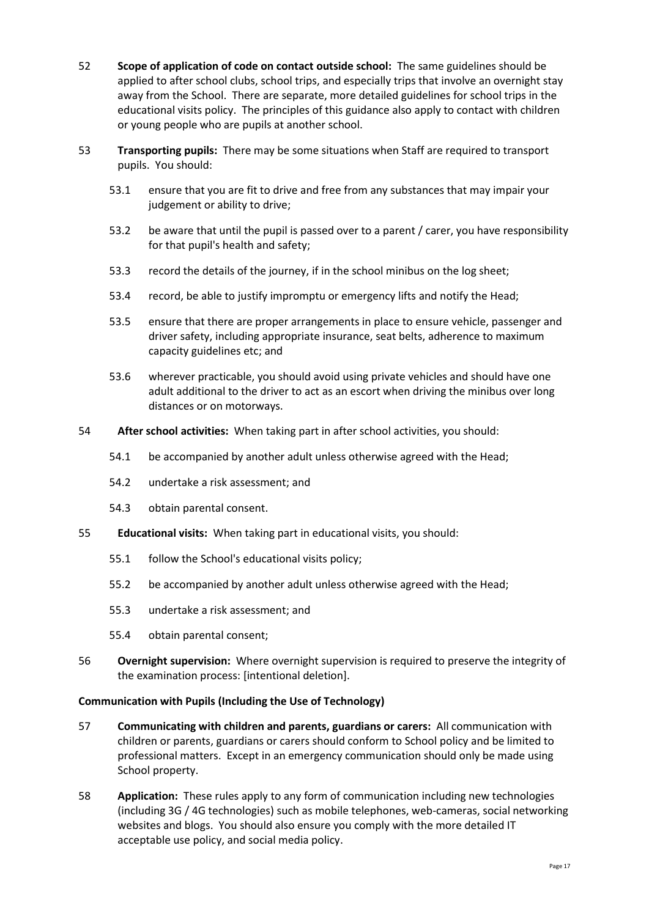- 52 **Scope of application of code on contact outside school:** The same guidelines should be applied to after school clubs, school trips, and especially trips that involve an overnight stay away from the School. There are separate, more detailed guidelines for school trips in the educational visits policy. The principles of this guidance also apply to contact with children or young people who are pupils at another school.
- 53 **Transporting pupils:** There may be some situations when Staff are required to transport pupils. You should:
	- 53.1 ensure that you are fit to drive and free from any substances that may impair your judgement or ability to drive;
	- 53.2 be aware that until the pupil is passed over to a parent / carer, you have responsibility for that pupil's health and safety;
	- 53.3 record the details of the journey, if in the school minibus on the log sheet;
	- 53.4 record, be able to justify impromptu or emergency lifts and notify the Head;
	- 53.5 ensure that there are proper arrangements in place to ensure vehicle, passenger and driver safety, including appropriate insurance, seat belts, adherence to maximum capacity guidelines etc; and
	- 53.6 wherever practicable, you should avoid using private vehicles and should have one adult additional to the driver to act as an escort when driving the minibus over long distances or on motorways.
- 54 **After school activities:** When taking part in after school activities, you should:
	- 54.1 be accompanied by another adult unless otherwise agreed with the Head;
	- 54.2 undertake a risk assessment; and
	- 54.3 obtain parental consent.
- 55 **Educational visits:** When taking part in educational visits, you should:
	- 55.1 follow the School's educational visits policy;
	- 55.2 be accompanied by another adult unless otherwise agreed with the Head;
	- 55.3 undertake a risk assessment; and
	- 55.4 obtain parental consent;
- 56 **Overnight supervision:** Where overnight supervision is required to preserve the integrity of the examination process: [intentional deletion].

#### **Communication with Pupils (Including the Use of Technology)**

- 57 **Communicating with children and parents, guardians or carers:** All communication with children or parents, guardians or carers should conform to School policy and be limited to professional matters. Except in an emergency communication should only be made using School property.
- 58 **Application:** These rules apply to any form of communication including new technologies (including 3G / 4G technologies) such as mobile telephones, web-cameras, social networking websites and blogs. You should also ensure you comply with the more detailed IT acceptable use policy, and social media policy.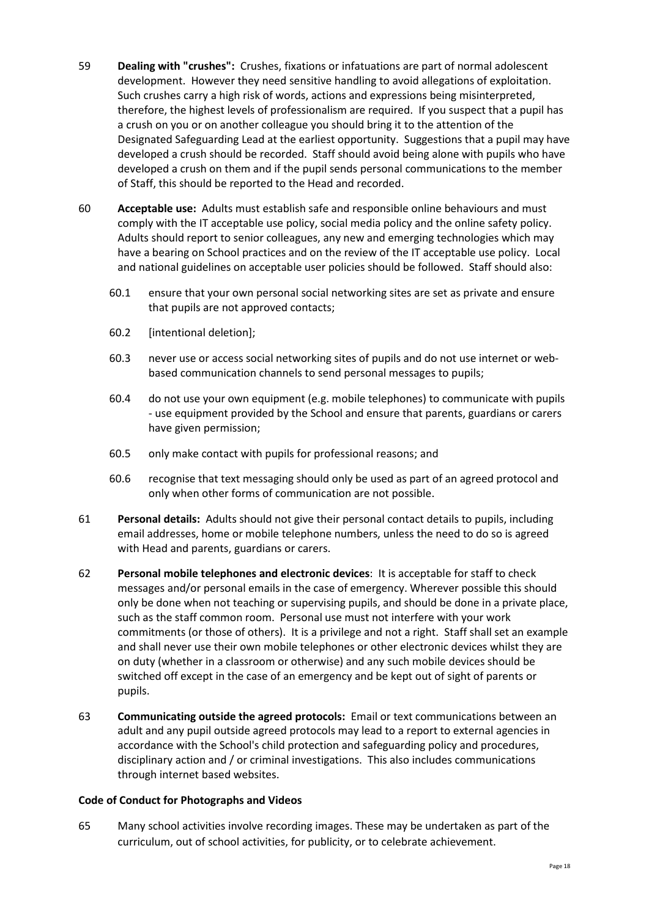- 59 **Dealing with "crushes":** Crushes, fixations or infatuations are part of normal adolescent development. However they need sensitive handling to avoid allegations of exploitation. Such crushes carry a high risk of words, actions and expressions being misinterpreted, therefore, the highest levels of professionalism are required. If you suspect that a pupil has a crush on you or on another colleague you should bring it to the attention of the Designated Safeguarding Lead at the earliest opportunity. Suggestions that a pupil may have developed a crush should be recorded. Staff should avoid being alone with pupils who have developed a crush on them and if the pupil sends personal communications to the member of Staff, this should be reported to the Head and recorded.
- 60 **Acceptable use:** Adults must establish safe and responsible online behaviours and must comply with the IT acceptable use policy, social media policy and the online safety policy. Adults should report to senior colleagues, any new and emerging technologies which may have a bearing on School practices and on the review of the IT acceptable use policy. Local and national guidelines on acceptable user policies should be followed. Staff should also:
	- 60.1 ensure that your own personal social networking sites are set as private and ensure that pupils are not approved contacts;
	- 60.2 [intentional deletion];
	- 60.3 never use or access social networking sites of pupils and do not use internet or webbased communication channels to send personal messages to pupils;
	- 60.4 do not use your own equipment (e.g. mobile telephones) to communicate with pupils - use equipment provided by the School and ensure that parents, guardians or carers have given permission;
	- 60.5 only make contact with pupils for professional reasons; and
	- 60.6 recognise that text messaging should only be used as part of an agreed protocol and only when other forms of communication are not possible.
- 61 **Personal details:** Adults should not give their personal contact details to pupils, including email addresses, home or mobile telephone numbers, unless the need to do so is agreed with Head and parents, guardians or carers.
- 62 **Personal mobile telephones and electronic devices**: It is acceptable for staff to check messages and/or personal emails in the case of emergency. Wherever possible this should only be done when not teaching or supervising pupils, and should be done in a private place, such as the staff common room. Personal use must not interfere with your work commitments (or those of others). It is a privilege and not a right. Staff shall set an example and shall never use their own mobile telephones or other electronic devices whilst they are on duty (whether in a classroom or otherwise) and any such mobile devices should be switched off except in the case of an emergency and be kept out of sight of parents or pupils.
- 63 **Communicating outside the agreed protocols:** Email or text communications between an adult and any pupil outside agreed protocols may lead to a report to external agencies in accordance with the School's child protection and safeguarding policy and procedures, disciplinary action and / or criminal investigations. This also includes communications through internet based websites.

#### **Code of Conduct for Photographs and Videos**

65 Many school activities involve recording images. These may be undertaken as part of the curriculum, out of school activities, for publicity, or to celebrate achievement.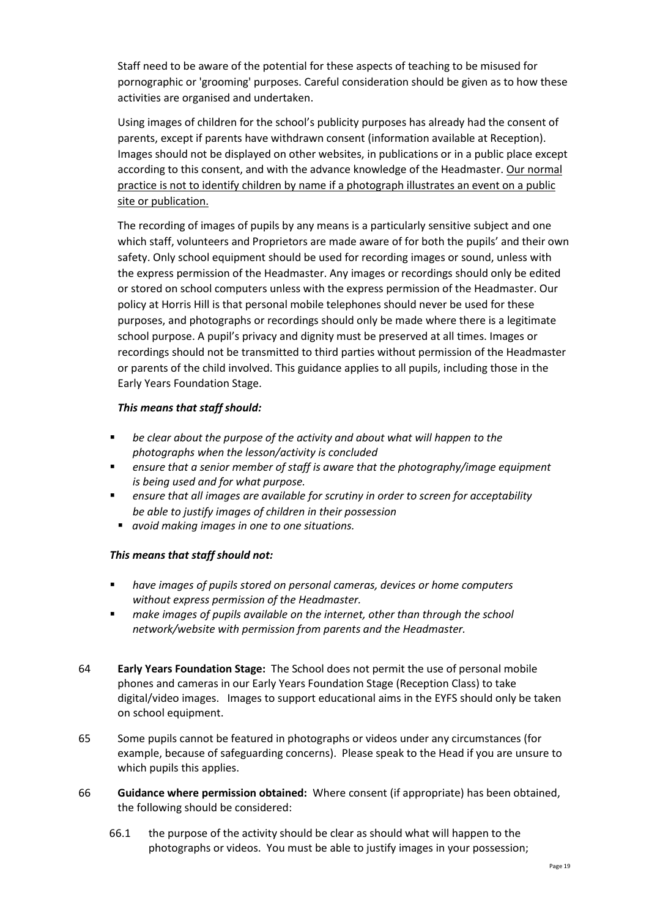Staff need to be aware of the potential for these aspects of teaching to be misused for pornographic or 'grooming' purposes. Careful consideration should be given as to how these activities are organised and undertaken.

Using images of children for the school's publicity purposes has already had the consent of parents, except if parents have withdrawn consent (information available at Reception). Images should not be displayed on other websites, in publications or in a public place except according to this consent, and with the advance knowledge of the Headmaster. Our normal practice is not to identify children by name if a photograph illustrates an event on a public site or publication.

The recording of images of pupils by any means is a particularly sensitive subject and one which staff, volunteers and Proprietors are made aware of for both the pupils' and their own safety. Only school equipment should be used for recording images or sound, unless with the express permission of the Headmaster. Any images or recordings should only be edited or stored on school computers unless with the express permission of the Headmaster. Our policy at Horris Hill is that personal mobile telephones should never be used for these purposes, and photographs or recordings should only be made where there is a legitimate school purpose. A pupil's privacy and dignity must be preserved at all times. Images or recordings should not be transmitted to third parties without permission of the Headmaster or parents of the child involved. This guidance applies to all pupils, including those in the Early Years Foundation Stage.

#### *This means that staff should:*

- be clear about the purpose of the activity and about what will happen to the *photographs when the lesson/activity is concluded*
- *ensure that a senior member of staff is aware that the photography/image equipment is being used and for what purpose.*
- ensure that all images are available for scrutiny in order to screen for acceptability *be able to justify images of children in their possession*
- *avoid making images in one to one situations.*

#### *This means that staff should not:*

- have images of pupils stored on personal cameras, devices or home computers *without express permission of the Headmaster.*
- make images of pupils available on the internet, other than through the school *network/website with permission from parents and the Headmaster.*
- 64 **Early Years Foundation Stage:** The School does not permit the use of personal mobile phones and cameras in our Early Years Foundation Stage (Reception Class) to take digital/video images. Images to support educational aims in the EYFS should only be taken on school equipment.
- 65 Some pupils cannot be featured in photographs or videos under any circumstances (for example, because of safeguarding concerns). Please speak to the Head if you are unsure to which pupils this applies.
- 66 **Guidance where permission obtained:** Where consent (if appropriate) has been obtained, the following should be considered:
	- 66.1 the purpose of the activity should be clear as should what will happen to the photographs or videos. You must be able to justify images in your possession;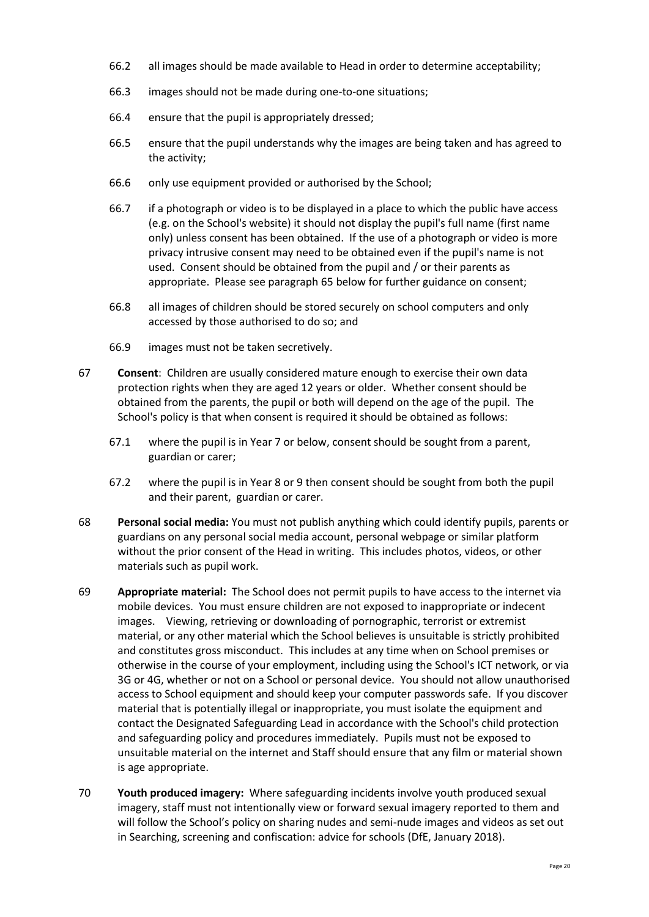- 66.2 all images should be made available to Head in order to determine acceptability;
- 66.3 images should not be made during one-to-one situations;
- 66.4 ensure that the pupil is appropriately dressed;
- 66.5 ensure that the pupil understands why the images are being taken and has agreed to the activity;
- 66.6 only use equipment provided or authorised by the School;
- 66.7 if a photograph or video is to be displayed in a place to which the public have access (e.g. on the School's website) it should not display the pupil's full name (first name only) unless consent has been obtained. If the use of a photograph or video is more privacy intrusive consent may need to be obtained even if the pupil's name is not used. Consent should be obtained from the pupil and / or their parents as appropriate. Please see paragraph 65 below for further guidance on consent;
- 66.8 all images of children should be stored securely on school computers and only accessed by those authorised to do so; and
- 66.9 images must not be taken secretively.
- 67 **Consent**: Children are usually considered mature enough to exercise their own data protection rights when they are aged 12 years or older. Whether consent should be obtained from the parents, the pupil or both will depend on the age of the pupil. The School's policy is that when consent is required it should be obtained as follows:
	- 67.1 where the pupil is in Year 7 or below, consent should be sought from a parent, guardian or carer;
	- 67.2 where the pupil is in Year 8 or 9 then consent should be sought from both the pupil and their parent, guardian or carer.
- 68 **Personal social media:** You must not publish anything which could identify pupils, parents or guardians on any personal social media account, personal webpage or similar platform without the prior consent of the Head in writing. This includes photos, videos, or other materials such as pupil work.
- 69 **Appropriate material:** The School does not permit pupils to have access to the internet via mobile devices. You must ensure children are not exposed to inappropriate or indecent images. Viewing, retrieving or downloading of pornographic, terrorist or extremist material, or any other material which the School believes is unsuitable is strictly prohibited and constitutes gross misconduct. This includes at any time when on School premises or otherwise in the course of your employment, including using the School's ICT network, or via 3G or 4G, whether or not on a School or personal device. You should not allow unauthorised access to School equipment and should keep your computer passwords safe. If you discover material that is potentially illegal or inappropriate, you must isolate the equipment and contact the Designated Safeguarding Lead in accordance with the School's child protection and safeguarding policy and procedures immediately. Pupils must not be exposed to unsuitable material on the internet and Staff should ensure that any film or material shown is age appropriate.
- 70 **Youth produced imagery:** Where safeguarding incidents involve youth produced sexual imagery, staff must not intentionally view or forward sexual imagery reported to them and will follow the School's policy on sharing nudes and semi-nude images and videos as set out in Searching, screening and confiscation: advice for schools (DfE, January 2018).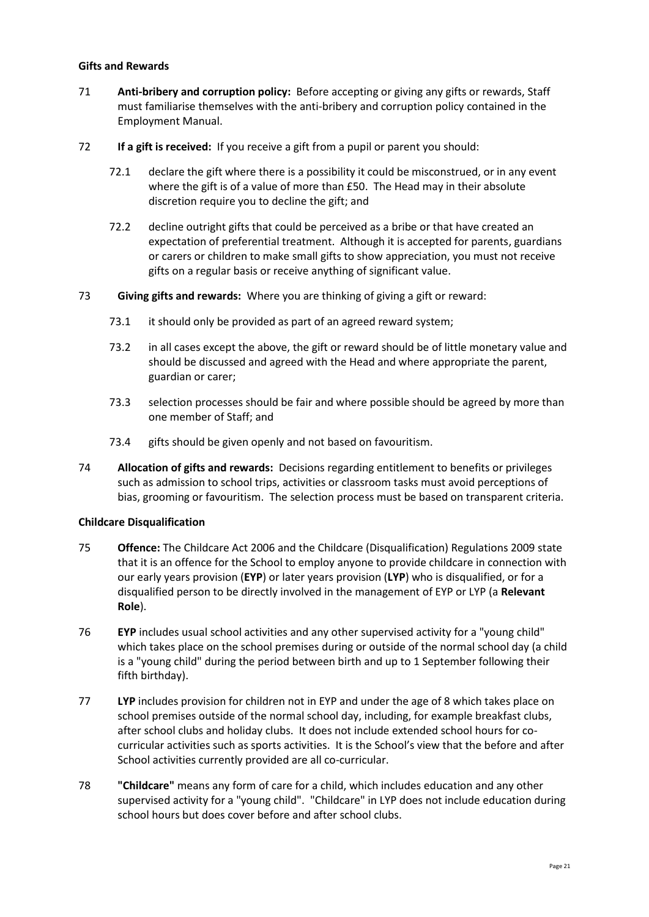#### **Gifts and Rewards**

- 71 **Anti-bribery and corruption policy:** Before accepting or giving any gifts or rewards, Staff must familiarise themselves with the anti-bribery and corruption policy contained in the Employment Manual.
- 72 **If a gift is received:** If you receive a gift from a pupil or parent you should:
	- 72.1 declare the gift where there is a possibility it could be misconstrued, or in any event where the gift is of a value of more than £50. The Head may in their absolute discretion require you to decline the gift; and
	- 72.2 decline outright gifts that could be perceived as a bribe or that have created an expectation of preferential treatment. Although it is accepted for parents, guardians or carers or children to make small gifts to show appreciation, you must not receive gifts on a regular basis or receive anything of significant value.
- 73 **Giving gifts and rewards:** Where you are thinking of giving a gift or reward:
	- 73.1 it should only be provided as part of an agreed reward system;
	- 73.2 in all cases except the above, the gift or reward should be of little monetary value and should be discussed and agreed with the Head and where appropriate the parent, guardian or carer;
	- 73.3 selection processes should be fair and where possible should be agreed by more than one member of Staff; and
	- 73.4 gifts should be given openly and not based on favouritism.
- 74 **Allocation of gifts and rewards:** Decisions regarding entitlement to benefits or privileges such as admission to school trips, activities or classroom tasks must avoid perceptions of bias, grooming or favouritism. The selection process must be based on transparent criteria.

#### **Childcare Disqualification**

- 75 **Offence:** The Childcare Act 2006 and the Childcare (Disqualification) Regulations 2009 state that it is an offence for the School to employ anyone to provide childcare in connection with our early years provision (**EYP**) or later years provision (**LYP**) who is disqualified, or for a disqualified person to be directly involved in the management of EYP or LYP (a **Relevant Role**).
- 76 **EYP** includes usual school activities and any other supervised activity for a "young child" which takes place on the school premises during or outside of the normal school day (a child is a "young child" during the period between birth and up to 1 September following their fifth birthday).
- 77 **LYP** includes provision for children not in EYP and under the age of 8 which takes place on school premises outside of the normal school day, including, for example breakfast clubs, after school clubs and holiday clubs. It does not include extended school hours for cocurricular activities such as sports activities. It is the School's view that the before and after School activities currently provided are all co-curricular.
- 78 **"Childcare"** means any form of care for a child, which includes education and any other supervised activity for a "young child". "Childcare" in LYP does not include education during school hours but does cover before and after school clubs.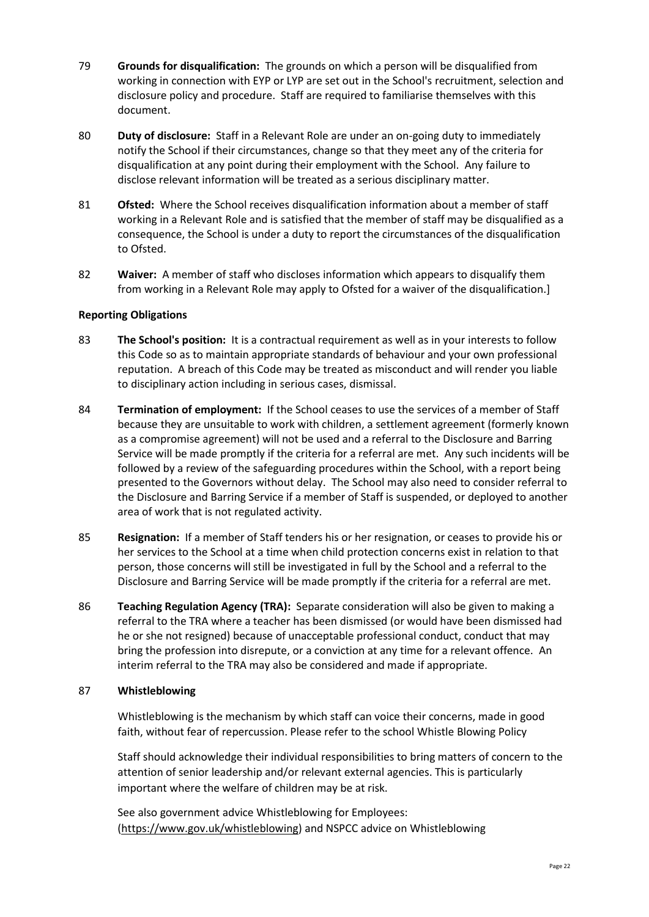- 79 **Grounds for disqualification:** The grounds on which a person will be disqualified from working in connection with EYP or LYP are set out in the School's recruitment, selection and disclosure policy and procedure. Staff are required to familiarise themselves with this document.
- 80 **Duty of disclosure:** Staff in a Relevant Role are under an on-going duty to immediately notify the School if their circumstances, change so that they meet any of the criteria for disqualification at any point during their employment with the School. Any failure to disclose relevant information will be treated as a serious disciplinary matter.
- 81 **Ofsted:** Where the School receives disqualification information about a member of staff working in a Relevant Role and is satisfied that the member of staff may be disqualified as a consequence, the School is under a duty to report the circumstances of the disqualification to Ofsted.
- 82 **Waiver:** A member of staff who discloses information which appears to disqualify them from working in a Relevant Role may apply to Ofsted for a waiver of the disqualification.]

#### **Reporting Obligations**

- 83 **The School's position:** It is a contractual requirement as well as in your interests to follow this Code so as to maintain appropriate standards of behaviour and your own professional reputation. A breach of this Code may be treated as misconduct and will render you liable to disciplinary action including in serious cases, dismissal.
- 84 **Termination of employment:** If the School ceases to use the services of a member of Staff because they are unsuitable to work with children, a settlement agreement (formerly known as a compromise agreement) will not be used and a referral to the Disclosure and Barring Service will be made promptly if the criteria for a referral are met. Any such incidents will be followed by a review of the safeguarding procedures within the School, with a report being presented to the Governors without delay. The School may also need to consider referral to the Disclosure and Barring Service if a member of Staff is suspended, or deployed to another area of work that is not regulated activity.
- 85 **Resignation:** If a member of Staff tenders his or her resignation, or ceases to provide his or her services to the School at a time when child protection concerns exist in relation to that person, those concerns will still be investigated in full by the School and a referral to the Disclosure and Barring Service will be made promptly if the criteria for a referral are met.
- 86 **Teaching Regulation Agency (TRA):** Separate consideration will also be given to making a referral to the TRA where a teacher has been dismissed (or would have been dismissed had he or she not resigned) because of unacceptable professional conduct, conduct that may bring the profession into disrepute, or a conviction at any time for a relevant offence. An interim referral to the TRA may also be considered and made if appropriate.

#### 87 **Whistleblowing**

Whistleblowing is the mechanism by which staff can voice their concerns, made in good faith, without fear of repercussion. Please refer to the school Whistle Blowing Policy

Staff should acknowledge their individual responsibilities to bring matters of concern to the attention of senior leadership and/or relevant external agencies. This is particularly important where the welfare of children may be at risk.

See also government advice Whistleblowing for Employees: [\(https://www.gov.uk/whistleblowing\)](https://www.gov.uk/whistleblowing) and NSPCC advice on Whistleblowing